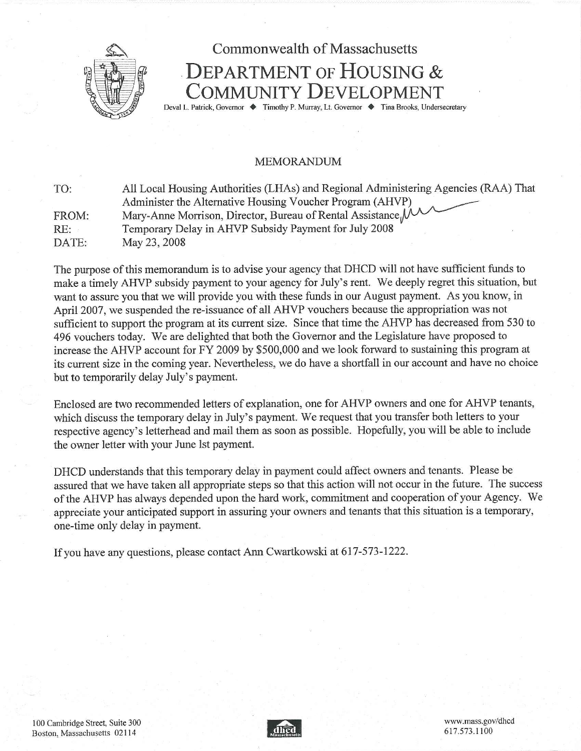

# Commonwealth of Massachusetts DEPARTMENT OF HOUSING & COMMUNITY DEVELOPMENT Deval L. Patrick, Governor ♦ Timothy P. Murray, Lt. Governor ♦ Tina Brooks, Undersecretary

### MEMORANDUM

| TO:   | All Local Housing Authorities (LHAs) and Regional Administering Agencies (RAA) That |
|-------|-------------------------------------------------------------------------------------|
|       | Administer the Alternative Housing Voucher Program (AHVP)                           |
| FROM: | Mary-Anne Morrison, Director, Bureau of Rental Assistance M                         |
| RE:   | Temporary Delay in AHVP Subsidy Payment for July 2008                               |
| DATE: | May 23, 2008                                                                        |

The purpose of this memorandum is to advise your agency that DHCD will not have sufficient funds to make a timely AHVP subsidy payment to your agency for July's rent. We deeply regret this situation, but want to assure you that we will provide you with these funds in our August payment. As you know, in April 2007, we suspended the re-issuance of all AHVP vouchers because the appropriation was not sufficient to support the program at its current size. Since that time the AHVP has decreased from 530 to 496 vouchers today. We are delighted that both the Governor and the Legislature have proposed to increase the AHVP account for FY 2009 by \$500,000 and we look forward to sustaining this program at its current size in the coming year. Nevertheless, we do have a shortfall in our account and have no choice but to temporarily delay July's payment.

Enclosed are two recommended letters of explanation, one for AHVP owners and one for AHVP tenants, which discuss the temporary delay in July's payment. We request that you transfer both letters to your respective agency's letterhead and mail them as soon as possible. Hopefully, you will be able to include the owner letter with your June 1st payment.

DHCD understands that this temporary delay in payment could affect owners and tenants. Please be assured that we have taken all appropriate steps so that this action will not occur in the future. The success of the AHVP has always depended upon the hard work, commitment and cooperation of your Agency. We appreciate your anticipated support in assuring your owners and tenants that this situation is a temporary, one-time only delay in payment.

If you have any questions, please contact Ann Cwartkowski at 617-573-1222.

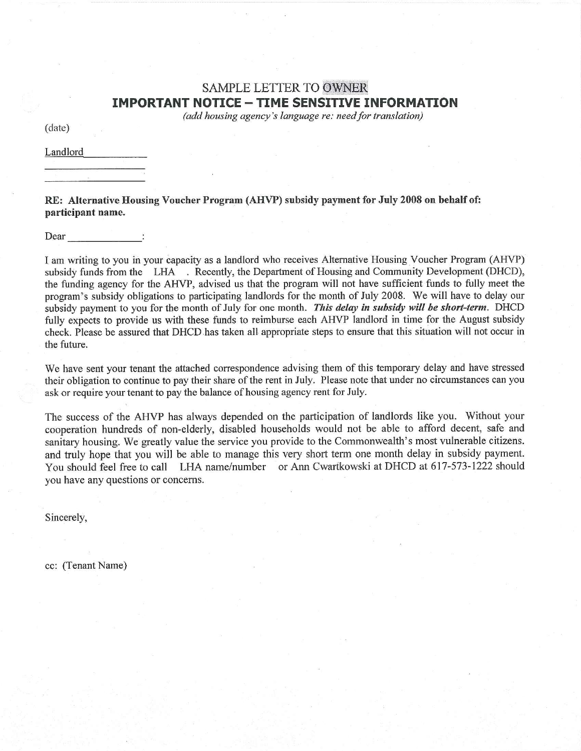## SAMPLE LETTER TO OWNER **IMPORTANT NOTICE - TIME SENSITIVE INFORMATION**

*(add housing agency's language re: need for translation)*

(date)

Landlord

RE: Alternative Housing Voucher Program (AHVP) subsidy payment for July 2008 on behalf of: participant name.

Dear

I am writing to you in your capacity as a landlord who receives Alternative Housing Voucher Program (AHVP) subsidy funds from the LHA . Recently, the Department of Housing and Community Development (DHCD), the funding agency for the AHVP, advised us that the program will not have sufficient funds to fully meet the program's subsidy obligations to participating landlords for the month of July 2008. We will have to delay our subsidy payment to you for the month of July for one month. *This delay in subsidy will be short-term.* DHCD fully expects to provide us with these funds to reimburse each AHVP landlord in time for the August subsidy check. Please be assured that DHCD has taken all appropriate steps to ensure that this situation will not occur in the future.

We have sent your tenant the attached correspondence advising them of this temporary delay and have stressed their obligation to continue to pay their share of the rent in July. Please note that under no circumstances can you ask or require your tenant to pay the balance of housing agency rent for July.

The success of the AHVP has always depended on the participation of landlords like you. Without your cooperation hundreds of non-elderly, disabled households would not be able to afford decent, safe and sanitary housing. We greatly value the service you provide to the Commonwealth's most vulnerable citizens. and truly hope that you will be able to manage this very short term one month delay in subsidy payment. You should feel free to call LHA name/number or Ann Cwartkowski at DHCD at 617-573-1222 should you have any questions or concerns.

Sincerely,

cc: (Tenant Name)